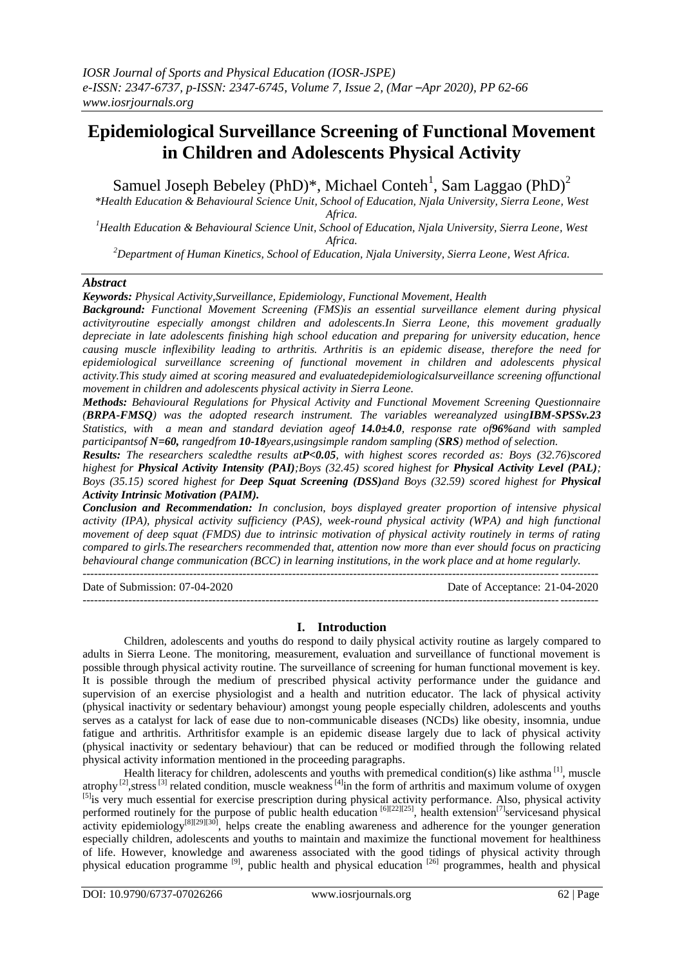# **Epidemiological Surveillance Screening of Functional Movement in Children and Adolescents Physical Activity**

Samuel Joseph Bebeley (PhD)\*, Michael Conteh<sup>1</sup>, Sam Laggao (PhD)<sup>2</sup>

*\*Health Education & Behavioural Science Unit, School of Education, Njala University, Sierra Leone, West Africa.*

*<sup>1</sup>Health Education & Behavioural Science Unit, School of Education, Njala University, Sierra Leone, West Africa.*

*<sup>2</sup>Department of Human Kinetics, School of Education, Njala University, Sierra Leone, West Africa.*

# *Abstract*

*Keywords: Physical Activity,Surveillance, Epidemiology, Functional Movement, Health*

*Background: Functional Movement Screening (FMS)is an essential surveillance element during physical activityroutine especially amongst children and adolescents.In Sierra Leone, this movement gradually depreciate in late adolescents finishing high school education and preparing for university education, hence causing muscle inflexibility leading to arthritis. Arthritis is an epidemic disease, therefore the need for epidemiological surveillance screening of functional movement in children and adolescents physical activity.This study aimed at scoring measured and evaluatedepidemiologicalsurveillance screening offunctional movement in children and adolescents physical activity in Sierra Leone.*

*Methods: Behavioural Regulations for Physical Activity and Functional Movement Screening Questionnaire (BRPA-FMSQ) was the adopted research instrument. The variables wereanalyzed usingIBM-SPSSv.23 Statistics, with a mean and standard deviation ageof 14.0±4.0, response rate of96%and with sampled participantsof N=60, rangedfrom 10-18years,usingsimple random sampling (SRS) method of selection.*

*Results: The researchers scaledthe results atP<0.05, with highest scores recorded as: Boys (32.76)scored highest for Physical Activity Intensity (PAI)*;Boys (32.45) scored highest for Physical Activity Level (PAL); *Boys (35.15) scored highest for Deep Squat Screening (DSS)and Boys (32.59) scored highest for Physical Activity Intrinsic Motivation (PAIM).*

*Conclusion and Recommendation: In conclusion, boys displayed greater proportion of intensive physical activity (IPA), physical activity sufficiency (PAS), week-round physical activity (WPA) and high functional movement of deep squat (FMDS) due to intrinsic motivation of physical activity routinely in terms of rating compared to girls.The researchers recommended that, attention now more than ever should focus on practicing behavioural change communication (BCC) in learning institutions, in the work place and at home regularly.*

---------------------------------------------------------------------------------------------------------------------------------------

---------------------------------------------------------------------------------------------------------------------------------------

Date of Submission: 07-04-2020 Date of Acceptance: 21-04-2020

**I. Introduction**

Children, adolescents and youths do respond to daily physical activity routine as largely compared to adults in Sierra Leone. The monitoring, measurement, evaluation and surveillance of functional movement is possible through physical activity routine. The surveillance of screening for human functional movement is key. It is possible through the medium of prescribed physical activity performance under the guidance and supervision of an exercise physiologist and a health and nutrition educator. The lack of physical activity (physical inactivity or sedentary behaviour) amongst young people especially children, adolescents and youths serves as a catalyst for lack of ease due to non-communicable diseases (NCDs) like obesity, insomnia, undue fatigue and arthritis. Arthritisfor example is an epidemic disease largely due to lack of physical activity (physical inactivity or sedentary behaviour) that can be reduced or modified through the following related physical activity information mentioned in the proceeding paragraphs.

Health literacy for children, adolescents and youths with premedical condition(s) like asthma  $\left[1\right]$ , muscle atrophy  $^{[2]}$ , stress  $^{[3]}$  related condition, muscle weakness  $^{[4]}$ in the form of arthritis and maximum volume of oxygen <sup>[5]</sup>is very much essential for exercise prescription during physical activity performance. Also, physical activity performed routinely for the purpose of public health education <sup>[6][22][25]</sup>, health extension<sup>[7]</sup>servicesand physical activity epidemiology<sup>[8][29][30]</sup>, helps create the enabling awareness and adherence for the younger generation especially children, adolescents and youths to maintain and maximize the functional movement for healthiness of life. However, knowledge and awareness associated with the good tidings of physical activity through physical education programme [9], public health and physical education [26] programmes, health and physical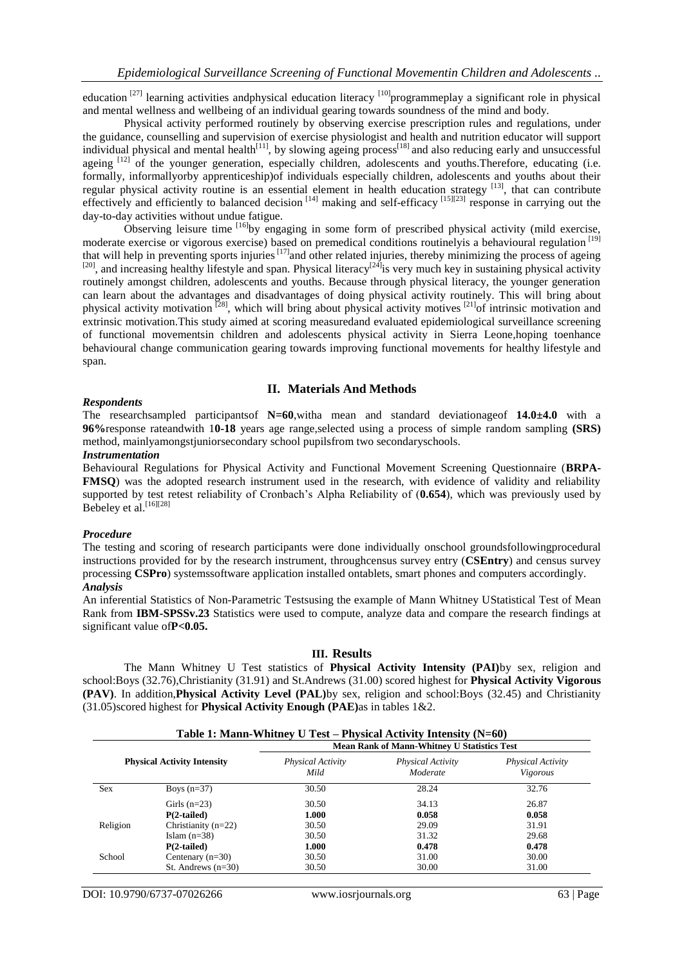education  $[27]$  learning activities andphysical education literacy  $[10]$ programmeplay a significant role in physical and mental wellness and wellbeing of an individual gearing towards soundness of the mind and body.

Physical activity performed routinely by observing exercise prescription rules and regulations, under the guidance, counselling and supervision of exercise physiologist and health and nutrition educator will support individual physical and mental health<sup>[11]</sup>, by slowing ageing process<sup>[18]</sup> and also reducing early and unsuccessful ageing [12] of the younger generation, especially children, adolescents and youths. Therefore, educating (i.e. formally, informallyorby apprenticeship)of individuals especially children, adolescents and youths about their regular physical activity routine is an essential element in health education strategy [13], that can contribute effectively and efficiently to balanced decision <sup>[14]</sup> making and self-efficacy <sup>[15][23]</sup> response in carrying out the day-to-day activities without undue fatigue.

Observing leisure time <sup>[16]</sup>by engaging in some form of prescribed physical activity (mild exercise, moderate exercise or vigorous exercise) based on premedical conditions routinelyis a behavioural regulation [19] that will help in preventing sports injuries<sup>[17]</sup> and other related injuries, thereby minimizing the process of ageing  $[20]$ , and increasing healthy lifestyle and span. Physical literacy<sup>[24]</sup> is very much key in sustaining physical activity routinely amongst children, adolescents and youths. Because through physical literacy, the younger generation can learn about the advantages and disadvantages of doing physical activity routinely. This will bring about physical activity motivation<sup>[28]</sup>, which will bring about physical activity motives<sup>[21]</sup> of intrinsic motivation and extrinsic motivation.This study aimed at scoring measuredand evaluated epidemiological surveillance screening of functional movementsin children and adolescents physical activity in Sierra Leone,hoping toenhance behavioural change communication gearing towards improving functional movements for healthy lifestyle and span.

## **II. Materials And Methods**

#### *Respondents*

The researchsampled participantsof **N=60**,witha mean and standard deviationageof **14.0±4.0** with a **96%**response rateandwith 1**0-18** years age range,selected using a process of simple random sampling **(SRS)** method, mainlyamongstjuniorsecondary school pupilsfrom two secondaryschools.

### *Instrumentation*

Behavioural Regulations for Physical Activity and Functional Movement Screening Questionnaire (**BRPA-FMSQ**) was the adopted research instrument used in the research, with evidence of validity and reliability supported by test retest reliability of Cronbach's Alpha Reliability of (**0.654**), which was previously used by Bebeley et al.<sup>[16][28]</sup>

## *Procedure*

The testing and scoring of research participants were done individually onschool groundsfollowingprocedural instructions provided for by the research instrument, throughcensus survey entry (**CSEntry**) and census survey processing **CSPro**) systemssoftware application installed ontablets, smart phones and computers accordingly. *Analysis*

An inferential Statistics of Non-Parametric Testsusing the example of Mann Whitney UStatistical Test of Mean Rank from **IBM-SPSSv.23** Statistics were used to compute, analyze data and compare the research findings at significant value of**P<0.05.**

## **III. Results**

The Mann Whitney U Test statistics of **Physical Activity Intensity (PAI)**by sex, religion and school:Boys (32.76),Christianity (31.91) and St.Andrews (31.00) scored highest for **Physical Activity Vigorous (PAV)**. In addition,**Physical Activity Level (PAL)**by sex, religion and school:Boys (32.45) and Christianity (31.05)scored highest for **Physical Activity Enough (PAE)**as in tables 1&2.

| Table 1: Mann-Whitney U Test – Physical Activity Intensity $(N=60)$ |                       |                                                    |                               |                               |  |  |
|---------------------------------------------------------------------|-----------------------|----------------------------------------------------|-------------------------------|-------------------------------|--|--|
|                                                                     |                       | <b>Mean Rank of Mann-Whitney U Statistics Test</b> |                               |                               |  |  |
| <b>Physical Activity Intensity</b>                                  |                       | <b>Physical Activity</b><br>Mild                   | Physical Activity<br>Moderate | Physical Activity<br>Vigorous |  |  |
| <b>Sex</b>                                                          | Boys $(n=37)$         | 30.50                                              | 28.24                         | 32.76                         |  |  |
|                                                                     | Girls $(n=23)$        | 30.50                                              | 34.13                         | 26.87                         |  |  |
|                                                                     | $P(2-tailed)$         | 1.000                                              | 0.058                         | 0.058                         |  |  |
| Religion                                                            | Christianity $(n=22)$ | 30.50                                              | 29.09                         | 31.91                         |  |  |
|                                                                     | Islam $(n=38)$        | 30.50                                              | 31.32                         | 29.68                         |  |  |
|                                                                     | $P(2-tailed)$         | 1.000                                              | 0.478                         | 0.478                         |  |  |
| School                                                              | Centenary $(n=30)$    | 30.50                                              | 31.00                         | 30.00                         |  |  |
|                                                                     | St. Andrews $(n=30)$  | 30.50                                              | 30.00                         | 31.00                         |  |  |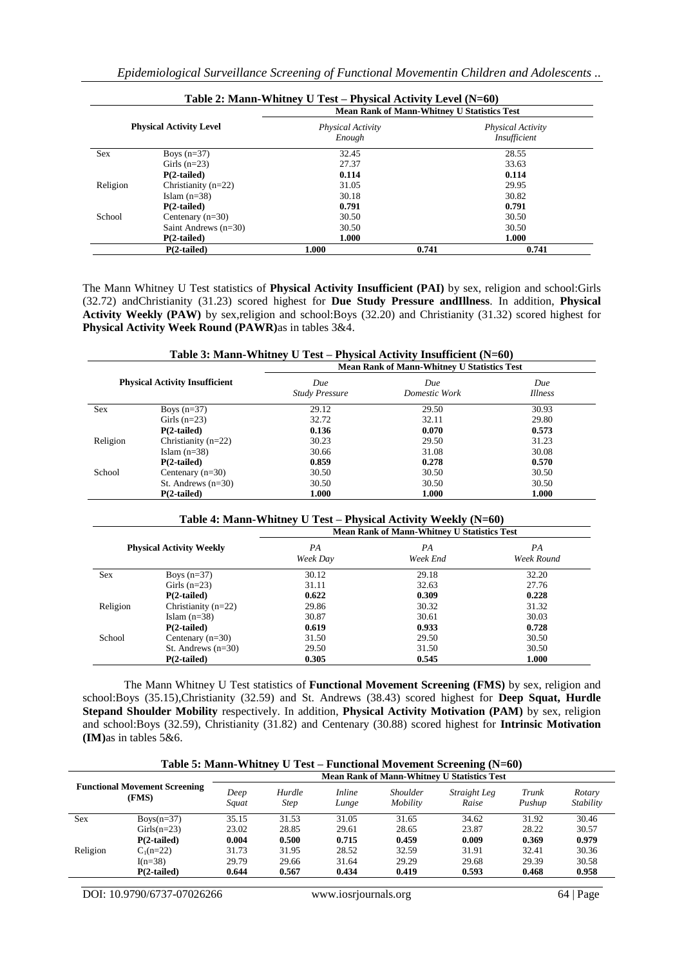|            |                                | Table 2: Mann-Whitney U Test – Physical Activity Level (N=60)<br><b>Mean Rank of Mann-Whitney U Statistics Test</b> |                                          |  |  |  |
|------------|--------------------------------|---------------------------------------------------------------------------------------------------------------------|------------------------------------------|--|--|--|
|            | <b>Physical Activity Level</b> | <b>Physical Activity</b><br>Enough                                                                                  | <b>Physical Activity</b><br>Insufficient |  |  |  |
| <b>Sex</b> | Boys $(n=37)$                  | 32.45                                                                                                               | 28.55                                    |  |  |  |
|            | Girls $(n=23)$                 | 27.37                                                                                                               | 33.63                                    |  |  |  |
|            | $P(2-tailed)$                  | 0.114                                                                                                               | 0.114                                    |  |  |  |
| Religion   | Christianity $(n=22)$          | 31.05                                                                                                               | 29.95                                    |  |  |  |
|            | Islam $(n=38)$                 | 30.18                                                                                                               | 30.82                                    |  |  |  |

Islam (n=38) 30.18 30.82<br> **P(2-tailed)** 30.791 30.791 30.791 30.82 **P(2-tailed) 0.791 0.791 0.791 0.791 0.791 0.791 0.791 0.791 0.791 0.791 0.791 0.791 0.791 1.000 1.000 1.000 1.000 1.000 1.000 1.000 1.000 1.000 1.000 1.000 1.000 1.000**

Saint Andrews (n=30) 30.50 30.50 30.50 **P(2-tailed) 1.000 1.000**

The Mann Whitney U Test statistics of **Physical Activity Insufficient (PAI)** by sex, religion and school:Girls (32.72) andChristianity (31.23) scored highest for **Due Study Pressure andIllness**. In addition, **Physical Activity Weekly (PAW)** by sex,religion and school:Boys (32.20) and Christianity (31.32) scored highest for **Physical Activity Week Round (PAWR)**as in tables 3&4.

**P(2-tailed) 1.000 0.741 0.741**

| Table 3: Mann-Whitney U Test – Physical Activity Insufficient $(N=60)$ |                       |                                                    |                      |                       |  |  |
|------------------------------------------------------------------------|-----------------------|----------------------------------------------------|----------------------|-----------------------|--|--|
|                                                                        |                       | <b>Mean Rank of Mann-Whitney U Statistics Test</b> |                      |                       |  |  |
| <b>Physical Activity Insufficient</b>                                  |                       | Due<br><b>Study Pressure</b>                       | Due<br>Domestic Work | Due<br><i>Illness</i> |  |  |
| Sex                                                                    | Boys $(n=37)$         | 29.12                                              | 29.50                | 30.93                 |  |  |
|                                                                        | Girls $(n=23)$        | 32.72                                              | 32.11                | 29.80                 |  |  |
|                                                                        | $P(2-tailed)$         | 0.136                                              | 0.070                | 0.573                 |  |  |
| Religion                                                               | Christianity $(n=22)$ | 30.23                                              | 29.50                | 31.23                 |  |  |
|                                                                        | Islam $(n=38)$        | 30.66                                              | 31.08                | 30.08                 |  |  |
|                                                                        | $P(2-tailed)$         | 0.859                                              | 0.278                | 0.570                 |  |  |
| School                                                                 | Centenary $(n=30)$    | 30.50                                              | 30.50                | 30.50                 |  |  |
|                                                                        | St. Andrews $(n=30)$  | 30.50                                              | 30.50                | 30.50                 |  |  |
|                                                                        | $P(2-tailed)$         | 1.000                                              | 1.000                | 1.000                 |  |  |

#### **Table 4: Mann-Whitney U Test – Physical Activity Weekly (N=60)**

|            |                                 | <b>Mean Rank of Mann-Whitney U Statistics Test</b> |                |                  |  |  |
|------------|---------------------------------|----------------------------------------------------|----------------|------------------|--|--|
|            | <b>Physical Activity Weekly</b> | PA<br>Week Day                                     | PA<br>Week End | PA<br>Week Round |  |  |
| <b>Sex</b> | Boys $(n=37)$                   | 30.12                                              | 29.18          | 32.20            |  |  |
|            | Girls $(n=23)$                  | 31.11                                              | 32.63          | 27.76            |  |  |
|            | $P(2-tailed)$                   | 0.622                                              | 0.309          | 0.228            |  |  |
| Religion   | Christianity $(n=22)$           | 29.86                                              | 30.32          | 31.32            |  |  |
|            | Islam $(n=38)$                  | 30.87                                              | 30.61          | 30.03            |  |  |
|            | $P(2-tailed)$                   | 0.619                                              | 0.933          | 0.728            |  |  |
| School     | Centenary $(n=30)$              | 31.50                                              | 29.50          | 30.50            |  |  |
|            | St. Andrews $(n=30)$            | 29.50                                              | 31.50          | 30.50            |  |  |
|            | $P(2-tailed)$                   | 0.305                                              | 0.545          | 1.000            |  |  |

The Mann Whitney U Test statistics of **Functional Movement Screening (FMS)** by sex, religion and school:Boys (35.15),Christianity (32.59) and St. Andrews (38.43) scored highest for **Deep Squat, Hurdle Stepand Shoulder Mobility** respectively. In addition, **Physical Activity Motivation (PAM)** by sex, religion and school:Boys (32.59), Christianity (31.82) and Centenary (30.88) scored highest for **Intrinsic Motivation (IM)**as in tables 5&6.

| Table 5: Mann-Whitney U Test – Functional Movement Screening (N=60) |  |
|---------------------------------------------------------------------|--|
|                                                                     |  |

| <b>Functional Movement Screening</b><br>(FMS) |               | <b>Mean Rank of Mann-Whitney U Statistics Test</b> |                       |                        |                             |                       |                 |                     |
|-----------------------------------------------|---------------|----------------------------------------------------|-----------------------|------------------------|-----------------------------|-----------------------|-----------------|---------------------|
|                                               |               | Deep<br>Squat                                      | Hurdle<br><b>Step</b> | <i>Inline</i><br>Lunge | <i>Shoulder</i><br>Mobility | Straight Leg<br>Raise | Trunk<br>Pushup | Rotary<br>Stability |
| <b>Sex</b>                                    | $Boys(n=37)$  | 35.15                                              | 31.53                 | 31.05                  | 31.65                       | 34.62                 | 31.92           | 30.46               |
|                                               | $Girls(n=23)$ | 23.02                                              | 28.85                 | 29.61                  | 28.65                       | 23.87                 | 28.22           | 30.57               |
|                                               | $P(2-tailed)$ | 0.004                                              | 0.500                 | 0.715                  | 0.459                       | 0.009                 | 0.369           | 0.979               |
| Religion                                      | $C_1(n=22)$   | 31.73                                              | 31.95                 | 28.52                  | 32.59                       | 31.91                 | 32.41           | 30.36               |
|                                               | $I(n=38)$     | 29.79                                              | 29.66                 | 31.64                  | 29.29                       | 29.68                 | 29.39           | 30.58               |
|                                               | $P(2-tailed)$ | 0.644                                              | 0.567                 | 0.434                  | 0.419                       | 0.593                 | 0.468           | 0.958               |

DOI: 10.9790/6737-07026266 www.iosrjournals.org 64 | Page

School Centenary  $(n=30)$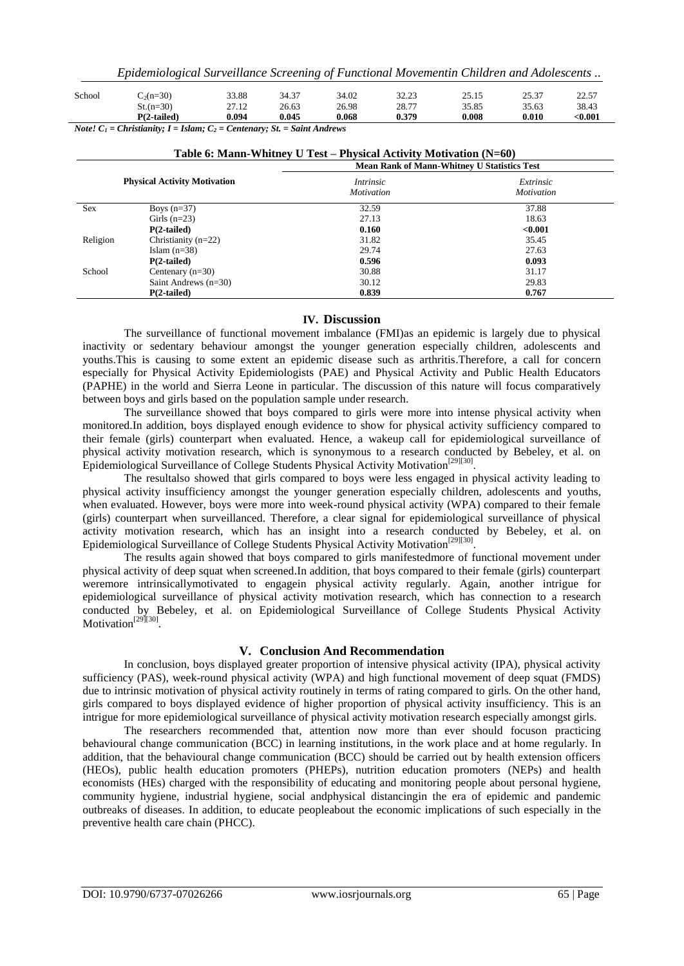| $St.(n=30)$   | 27.12 | 26.63 | 26.98 | 28.77 | 35.85 | 35.63 | 38.43   |
|---------------|-------|-------|-------|-------|-------|-------|---------|
| $P(2-tailed)$ | 0.094 | 0.045 | 0.068 | 0.379 | 0.008 | 0.010 | $0.001$ |

*Note!*  $C_1$  = Christianity;  $I = Islam$ ;  $C_2$  = Centenary; St. = Saint Andrews

| Table 6: Mann-Whitney U Test – Physical Activity Motivation $(N=60)$ |                        |                                                    |                                |  |  |  |
|----------------------------------------------------------------------|------------------------|----------------------------------------------------|--------------------------------|--|--|--|
|                                                                      |                        | <b>Mean Rank of Mann-Whitney U Statistics Test</b> |                                |  |  |  |
| <b>Physical Activity Motivation</b>                                  |                        | <i>Intrinsic</i><br><i>Motivation</i>              | Extrinsic<br><i>Motivation</i> |  |  |  |
| <b>Sex</b>                                                           | Boys $(n=37)$          | 32.59                                              | 37.88                          |  |  |  |
|                                                                      | Girls $(n=23)$         | 27.13                                              | 18.63                          |  |  |  |
|                                                                      | $P(2-tailed)$          | 0.160                                              | < 0.001                        |  |  |  |
| Religion                                                             | Christianity $(n=22)$  | 31.82                                              | 35.45                          |  |  |  |
|                                                                      | Islam $(n=38)$         | 29.74                                              | 27.63                          |  |  |  |
|                                                                      | $P(2-tailed)$          | 0.596                                              | 0.093                          |  |  |  |
| School                                                               | Centenary $(n=30)$     | 30.88                                              | 31.17                          |  |  |  |
|                                                                      | Saint Andrews $(n=30)$ | 30.12                                              | 29.83                          |  |  |  |
|                                                                      | $P(2-tailed)$          | 0.839                                              | 0.767                          |  |  |  |

## **IV. Discussion**

The surveillance of functional movement imbalance (FMI)as an epidemic is largely due to physical inactivity or sedentary behaviour amongst the younger generation especially children, adolescents and youths.This is causing to some extent an epidemic disease such as arthritis.Therefore, a call for concern especially for Physical Activity Epidemiologists (PAE) and Physical Activity and Public Health Educators (PAPHE) in the world and Sierra Leone in particular. The discussion of this nature will focus comparatively between boys and girls based on the population sample under research.

The surveillance showed that boys compared to girls were more into intense physical activity when monitored.In addition, boys displayed enough evidence to show for physical activity sufficiency compared to their female (girls) counterpart when evaluated. Hence, a wakeup call for epidemiological surveillance of physical activity motivation research, which is synonymous to a research conducted by Bebeley, et al. on Epidemiological Surveillance of College Students Physical Activity Motivation<sup>[29][30]</sup>.

The resultalso showed that girls compared to boys were less engaged in physical activity leading to physical activity insufficiency amongst the younger generation especially children, adolescents and youths, when evaluated. However, boys were more into week-round physical activity (WPA) compared to their female (girls) counterpart when surveillanced. Therefore, a clear signal for epidemiological surveillance of physical activity motivation research, which has an insight into a research conducted by Bebeley, et al. on Epidemiological Surveillance of College Students Physical Activity Motivation<sup>[29][30]</sup>.

The results again showed that boys compared to girls manifestedmore of functional movement under physical activity of deep squat when screened.In addition, that boys compared to their female (girls) counterpart weremore intrinsicallymotivated to engagein physical activity regularly. Again, another intrigue for epidemiological surveillance of physical activity motivation research, which has connection to a research conducted by Bebeley, et al. on Epidemiological Surveillance of College Students Physical Activity Motivation<sup>[29][30]</sup>.

# **V. Conclusion And Recommendation**

In conclusion, boys displayed greater proportion of intensive physical activity (IPA), physical activity sufficiency (PAS), week-round physical activity (WPA) and high functional movement of deep squat (FMDS) due to intrinsic motivation of physical activity routinely in terms of rating compared to girls. On the other hand, girls compared to boys displayed evidence of higher proportion of physical activity insufficiency. This is an intrigue for more epidemiological surveillance of physical activity motivation research especially amongst girls.

The researchers recommended that, attention now more than ever should focuson practicing behavioural change communication (BCC) in learning institutions, in the work place and at home regularly. In addition, that the behavioural change communication (BCC) should be carried out by health extension officers (HEOs), public health education promoters (PHEPs), nutrition education promoters (NEPs) and health economists (HEs) charged with the responsibility of educating and monitoring people about personal hygiene, community hygiene, industrial hygiene, social andphysical distancingin the era of epidemic and pandemic outbreaks of diseases. In addition, to educate peopleabout the economic implications of such especially in the preventive health care chain (PHCC).